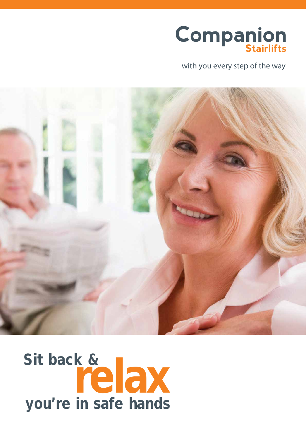

with you every step of the way



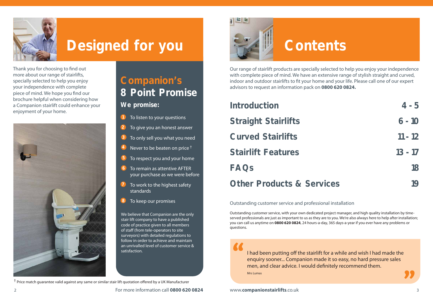

## **Designed for you Contents**



Thank you for choosing to find out more about our range of stairlifts, specially selected to help you enjoy your independence with complete piece of mind. We hope you find our brochure helpful when considering how a Companion stairlift could enhance your enjoyment of your home.



## **Companion's 8 Point Promise**

### **We promise:**

- To listen to your questions
- To give you an honest answer **2**
- To only sell you what you need **3**
- Never to be beaten on price † **4**
- To respect you and your home **5**
- To remain as attentive AFTER your purchase as we were before **6**
- To work to the highest safety standards **7**
- To keep our promises **8**

**Introduction 4 - 5 Straight Stairlifts 6 - 10 Curved Stairlifts 11 - 12 Stairlift Features 13 - 17 FAQs 18 Other Products & Services** 19

We believe that Companion are the only stair lift company to have a published code of practice given to all members of staff (from tele-operators to site surveyors) with detailed regulations to follow in order to achieve and maintain an unrivalled level of customer service & satisfaction.

 $+$  Price match guarantee valid against any same or similar stair lift quotation offered by a UK Manufacturer

Our range of stairlift products are specially selected to help you enjoy your independence with complete piece of mind. We have an extensive range of stylish straight and curved, indoor and outdoor stairlifts to fit your home and your life. Please call one of our expert advisors to request an information pack on **0800 620 0824.**

I had been putting off the stairlift for a while and wish I had made the enquiry sooner... Companion made it so easy, no hard pressure sales men, and clear advice. I would definitely recommend them. Mrs Lumas

Outstanding customer service and professional installation

Outstanding customer service, with your own dedicated project manager, and high quality installation by timeserved professionals are just as important to us as they are to you. We're also always here to help after installation; you can call us anytime on **0800 620 0824**, 24 hours-a-day, 365 days-a-year if you ever have any problems or questions.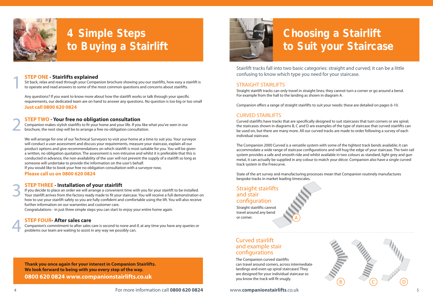### **STEP ONE - Stairlifts explained**

Sit back, relax and read through your Companion brochure showing you our stairlifts, how easy a stairlift is to operate and read answers to some of the most common questions and concerns about stairlifts.

Any questions? If you want to know more about how the stairlift works or talk through your specific requirements, our dedicated team are on hand to answer any questions. No question is too big or too small **Just call 0800 620 0824**

Stairlift tracks fall into two basic categories: straight and curved; it can be a little confusing to know which type you need for your staircase.

#### STRAIGHT STAIRLIFTS

Straight stairlift tracks can only travel in straight lines; they cannot turn a corner or go around a bend. For example from the hall to the landing as shown in diagram A.

Companion offers a range of straight stairlifts to suit your needs: these are detailed on pages 6-10.

#### CURVED STAIRLIFTS

Curved stairlifts have tracks that are specifically designed to suit staircases that turn corners or are spiral; the staircases shown in diagrams B, C and D are examples of the type of staircase that curved stairlifts can be used on, but there are many more. All our curved tracks are made to order following a survey of each individual staircase.

The Companion 2000 Curved is a versatile system with some of the tightest track bends available; it can accommodate a wide range of staircase configurations and will hug the edge of your staircase. The twin rail system provides a safe and smooth ride and whilst available in two colours as standard, light grey and gun metal, it can actually be supplied in any colour to match your décor. Companion also have a single curved track system in the Freecurve.

State of the art survey and manufacturing processes mean that Companion routinely manufactures bespoke tracks in market leading timescales.

#### **STEP TWO - Your free no obligation consultation**

Companion makes stylish stairlifts to fit your home and your life. If you like what you've seen in our brochure, the next step will be to arrange a free no obligation consultation.

We will arrange for one of our Technical Surveyors to visit your home at a time to suit you. Your surveyor will conduct a user assessment and discuss your requirements, measure your staircase, explain all our product options and give recommendations on which stairlift is most suitable for you. You will be given a written, no obligation quotation. The assessment is non-intrusive and whilst it is preferable that this is conducted in advance, the non-availability of the user will not prevent the supply of a stairlift so long as someone will undertake to provide the information on the user's behalf.

If you would like to book your free no obligation consultation with a surveyor now,

#### **Please call us on 0800 620 0824**

If you decide to place an order we will arrange a convenient time with you for your stairlift to be installed. Your stairlift arrives from the factory ready made to fit your staircase. You will receive a full demonstration on how to use your stairlift safely so you are fully confident and comfortable using the lift. You will also receive further information on our warranties and customer care.

### **STEP THREE - Installation of your stairlift** 3

Congratulations - in just three simple steps you can start to enjoy your entire home again.

#### **STEP FOUR- After sales care**

Companion's commitment to after sales care is second to none and if, at any time you have any queries or problems our team are waiting to assist in any way we possibly can.



1

2

4

### Straight stairlifts and stair configuration

Straight stairlifts cannot travel around any bend or corner.

### Curved stairlift and example stair configurations

The Companion curved stairlifts can travel around corners, across intermediate landings and even up spiral staircases! They are designed for your individual staircase so you know the track will fit snugly.





## **4 Simple Steps to Buying a Stairlift**

## **Choosing a Stairlift to Suit your Staircase**

**Thank you once again for your interest in Companion Stairlifts. We look forward to being with you every step of the way. 0800 620 0824 www.companionstairlifts.co.uk**

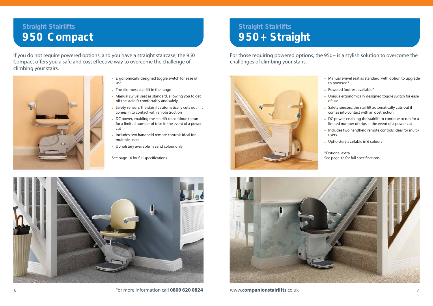

6 For more information call **0800 620 0824** www.**companionstairlifts**.co.uk 7

- Manual swivel seat as standard, with option to upgrade to powered\*
- Powered footrest available\*
- Unique ergonomically designed toggle switch for ease of use
- Safety sensors, the stairlift automatically cuts out if comes into contact with an obstruction
- DC power, enabling the stairlift to continue to run for a limited number of trips in the event of a power cut
- Includes two handheld remote controls ideal for multiusers
- Upholstery available in 6 colours

\*Optional extra. See page 16 for full specifications

For those requiring powered options, the 950+ is a stylish solution to overcome the challenges of climbing your stairs.





- Ergonomically designed toggle switch for ease of use
- The slimmest stairlift in the range
- Manual swivel seat as standard, allowing you to get off the stairlift comfortably and safely
- Safety sensors, the stairlift automatically cuts out if it comes in to contact with an obstruction
- DC power, enabling the stairlift to continue to run for a limited number of trips in the event of a power cut
- Includes two handheld remote controls ideal for multiple users
- Upholstery available in Sand colour only

See page 16 for full specifications

If you do not require powered options, and you have a straight staircase, the 950 Compact offers you a safe and cost effective way to overcome the challenge of climbing your stairs.



### **Straight Stairlifts 950 Compact**

### **Straight Stairlifts 950+ Straight**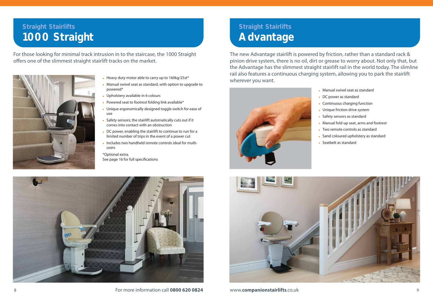

8 For more information call **0800 620 0824** www.**companionstairlifts**.co.uk 9

- Heavy duty motor able to carry up to 160kg/25st\*
- Manual swivel seat as standard, with option to upgrade to powered\*
- Upholstery available in 6 colours
- Powered seat to footrest folding link available\*
- Unique ergonomically designed toggle switch for ease of use
- Safety sensors; the stairlift automatically cuts out if it comes into contact with an obstruction
- DC power, enabling the stairlift to continue to run for a limited number of trips in the event of a power cut
- Includes two handheld remote controls ideal for multiusers

\*Optional extra. See page 16 for full specifications

For those looking for minimal track intrusion in to the staircase, the 1000 Straight offers one of the slimmest straight stairlift tracks on the market.



### **Straight Stairlifts 1000 Straight**

The new Advantage stairlift is powered by friction, rather than a standard rack & pinion drive system, there is no oil, dirt or grease to worry about. Not only that, but the Advantage has the slimmest straight stairlift rail in the world today. The slimline rail also features a continuous charging system, allowing you to park the stairlift wherever you want.



### **Straight Stairlifts Advantage**

- 
- Manual swivel seat as standard • DC power as standard • Continuous charging function • Unique friction drive system • Safety sensors as standard • Manual fold-up seat, arms and footrest
- 
- 
- 
- 
- 



- Two remote controls as standard
- Sand coloured upholstery as standard
- Seatbelt as standard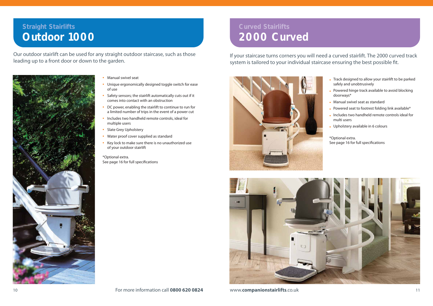- Manual swivel seat
- Unique ergonomically designed toggle switch for ease of use
- Safety sensors; the stairlift automatically cuts out if it comes into contact with an obstruction
- DC power, enabling the stairlift to continue to run for a limited number of trips in the event of a power cut
- Includes two handheld remote controls, ideal for multiple users
- Slate Grey Upholstery
- Water proof cover supplied as standard
- Key lock to make sure there is no unauthorized use of your outdoor stairlift

\*Optional extra. See page 16 for full specifications

Our outdoor stairlift can be used for any straight outdoor staircase, such as those leading up to a front door or down to the garden.



### **Straight Stairlifts Outdoor 1000**

- Track designed to allow your stairlift to be parked safely and unobtrusively
- Powered hinge track available to avoid blocking doorways\*
- Manual swivel seat as standard
- Powered seat to footrest folding link available\*
- Includes two handheld remote controls ideal for multi users
- Upholstery available in 6 colours

\*Optional extra. See page 16 for full specifications

If your staircase turns corners you will need a curved stairlift. The 2000 curved track system is tailored to your individual staircase ensuring the best possible fit.





### **Curved Stairlifts 2000 Curved**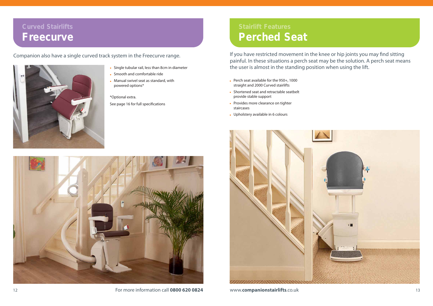



- Single tubular rail, less than 8cm in diameter
- Smooth and comfortable ride
- Manual swivel seat as standard, with powered options\*

\*Optional extra. See page 16 for full specifications

Companion also have a single curved track system in the Freecurve range.



### **Curved Stairlifts Freecurve**

- Perch seat available for the 950+, 1000 straight and 2000 Curved stairlifts
- Shortened seat and retractable seatbelt provide stable support
- Provides more clearance on tighter staircases
- Upholstery available in 6 colours



If you have restricted movement in the knee or hip joints you may find sitting painful. In these situations a perch seat may be the solution. A perch seat means the user is almost in the standing position when using the lift.

### **Stairlift Features Perched Seat**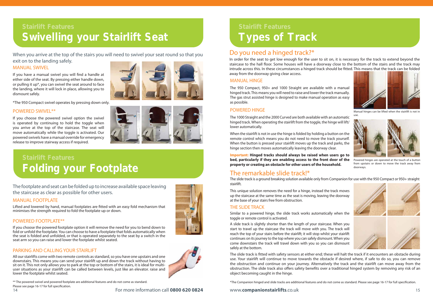14 For more information call **0800 620 0824** www.**companionstairlifts**.co.uk 15

### **Stairlift Features Folding your Footplate**

### **Stairlift Features Swivelling your Stairlift Seat**

When you arrive at the top of the stairs you will need to swivel your seat round so that you exit on to the landing safely.

#### MANUAL SWIVEL

If you have a manual swivel you will find a handle at either side of the seat. By pressing either handle down, or pulling it up\*, you can swivel the seat around to face the landing, where it will lock in place, allowing you to dismount safely.

#### POWERED SWIVEL\*\*

If you choose the powered swivel option the swivel is operated by continuing to hold the toggle when you arrive at the top of the staircase. The seat will move automatically while the toggle is activated. Our powered swivels have a manual override for emergency release to improve stairway access if required.



\*The 950 Compact swivel operates by pressing down only.

The footplate and seat can be folded up to increase available space leaving the staircase as clear as possible for other users.

#### MANUAL FOOTPLATE

Lifted and lowered by hand, manual footplates are fitted with an easy fold mechanism that minimises the strength required to fold the footplate up or down.

#### POWERED FOOTPLATE\*\*

If you choose the powered footplate option it will remove the need for you to bend down to fold or unfold the footplate. You can choose to have a footplate that folds automatically when the seat is folded and unfolded, or that is operated separately to the seat by a switch in the seat arm so you can raise and lower the footplate whilst seated.

### PARKING AND CALLING YOUR STAIRLIFT

All our stairlifts come with two remote controls as standard, so you have one upstairs and one downstairs. This means you can send your stairlift up and down the track without having to sit on it. This not only allows you to park at the top or bottom of the stairs, it is ideal for multiuser situations as your stairlift can be called between levels, just like an elevator. raise and lower the footplate whilst seated.

Similar to a powered hinge, the slide track works automatically when the toggle or remote control is activated.

\*\* The powered swivel and powered footplate are additional features and do not come as standard. Please see page 16-17 for full specification.

## **Stairlift Features Types of Track**

### Do you need a hinged track?\*

In order for the seat to get low enough for the user to sit on, it is necessary for the track to extend beyond the staircase to the hall floor. Some houses will have a doorway close to the bottom of the stairs and the track may intrude across this. In these circumstances a hinged track should be fitted. This means that the track can be folded away from the doorway giving clear access.

#### MANUAL HINGE

The 950 Compact, 950+ and 1000 Straight are available with a manual hinged track. This means you will need to raise and lower the track manually. The gas strut assisted hinge is designed to make manual operation as easy as possible.

#### POWERED HINGE

The 1000 Straight and the 2000 Curved are both available with an automatic hinged track. When operating the stairlift from the toggle, the hinge will lift/ lower automatically.

When the stairlift is not in use the hinge is folded by holding a button on the remote control which means you do not need to move the track yourself. When the button is pressed your stairlift moves up the track and parks, the hinge section then moves automatically leaving the doorway clear.

**Important: Hinged tracks should always be raised when users go to bed, particularly if they are enabling access to the front door of the property or creating an obstacle for other users of the household.**

This unique solution removes the need for a hinge, instead the track moves up the staircase at the same time as the seat is moving, leaving the doorway at the base of your stairs free from obstruction.

### THE SLIDE TRACK

A slide track is slightly shorter than the length of your staircase. When you start to travel up the staircase the track will move with you. The track will reach the top of your stairs before the stairlift; it will stop whilst your stairlift continues on its journey to the top where you can safely dismount. When you come downstairs the track will travel down with you so you can dismount

safely at the bottom. The slide track is fitted with safety sensors at either end; these will halt the track if it encounters an obstacle during use. Your stairlift will continue to move towards the obstacle if desired where, if safe to do so, you can remove the obstruction and continue on your journey. Alternatively the track and the stairlift can move away from the obstruction. The slide track also offers safety benefits over a traditional hinged system by removing any risk of an object becoming caught in the hinge.

\*The Companion hinged and slide tracks are additional features and do not come as standard. Please see page 16-17 for full specification.



Manual hinges can be lifted when the stairlift is not in use.

Powered hinges are operated at the touch of a button









from upstairs or down to move the track away from doorways.

### The remarkable slide track!\*

The slide track is a ground breaking solution available only from Companion for use with the 950 Compact or 950+ straight stairlift.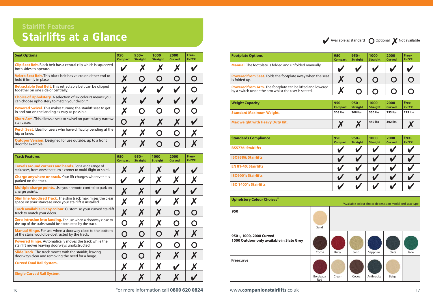$\blacktriangleright$  Available as standard  $\bigcirc$  Optional  $\blacktriangleright$  Not available



| <b>Track Features</b>                                                                                                            | 950<br><b>Compact</b> | $950+$<br><b>Straight</b> | 1000<br><b>Straight</b> | 2000<br><b>Curved</b> | Free-<br>curve |
|----------------------------------------------------------------------------------------------------------------------------------|-----------------------|---------------------------|-------------------------|-----------------------|----------------|
| Travels around corners and bends. For a wide range of<br>staircases, from ones that turn a corner to multi-flight or spiral.     |                       | Х                         | Х                       |                       |                |
| <b>Charge anywhere on track.</b> Your lift charges wherever it is<br>parked on the track.                                        |                       |                           | X                       | X                     |                |
| Multiple charge points. Use your remote control to park on<br>charge points.                                                     | X                     | X                         |                         |                       |                |
| <b>Slim line Anodised Track.</b> The slim track maximises the clear<br>space on your staircase once your stairlift is installed. | X                     | X                         |                         | X                     |                |
| Track available in any colour. Customise your curved stairlift<br>track to match your décor.                                     | X                     | Х                         | X                       | $\mathbf O$           |                |
| Zero intrusion into landing. For use when a doorway close to<br>the top of the stairs would be obstructed by the track.          | O                     | X                         | X                       | $\mathbf O$           |                |
| Manual Hinge. For use when a doorway close to the bottom<br>of the stairs would be obstructed by the track.                      | O                     | $\mathbf O$               | $\mathbf O$             | X                     |                |
| <b>Powered Hinge.</b> Automatically moves the track while the<br>stairlift moves leaving doorways unobstructed.                  | X                     | X                         | $\mathbf O$             | $\mathbf O$           |                |
| <b>Slide Track.</b> The track moves with the stairlift, leaving<br>doorways clear and removing the need for a hinge.             | $\bigcap$             | $\mathbf O$               | X                       | X                     |                |
| <b>Curved Dual Rail System.</b>                                                                                                  | Х                     | Х                         |                         | U                     |                |
| <b>Single Curved Rail System.</b>                                                                                                |                       |                           |                         |                       |                |

| <b>Standards Compliance</b>  | 950<br><b>Compact</b> | $950+$<br><b>Straight</b> | 1000<br><b>Straight</b> | 2000<br><b>Curved</b> | Free-<br>curve |
|------------------------------|-----------------------|---------------------------|-------------------------|-----------------------|----------------|
| <b>BS5776: Stairlifts</b>    |                       |                           |                         |                       |                |
| <b>ISO9386: Stairlifts</b>   |                       |                           |                         |                       |                |
| <b>EN 81-40: Stairlifts</b>  |                       |                           |                         |                       |                |
| <b>ISO9001: Stairlifts</b>   |                       |                           |                         |                       |                |
| <b>ISO 14001: Stairlifts</b> |                       |                           |                         |                       |                |

| <b>Seat Options</b>                                                                                                   | 950<br><b>Compact</b> | $950+$<br><b>Straight</b> | 1000<br><b>Straight</b>                              | 2000<br><b>Curved</b> | Free-<br>curve |
|-----------------------------------------------------------------------------------------------------------------------|-----------------------|---------------------------|------------------------------------------------------|-----------------------|----------------|
| <b>Clip Seat Belt.</b> Black belt has a central clip which is squeezed<br>both sides to operate.                      |                       |                           |                                                      |                       |                |
| Velcro Seat Belt. This black belt has velcro on either end to<br>hold it firmly in place.                             |                       | Ő                         | $\mathbf O$                                          | Ő                     |                |
| <b>Retractable Seat Belt.</b> This retractable belt can be clipped<br>together on one side or centrally.              | Х                     |                           |                                                      |                       |                |
| <b>Choice of Upholstery.</b> A selection of six colours means you<br>can choose upholstery to match your décor. *     |                       |                           |                                                      |                       |                |
| <b>Powered Swivel.</b> This makes turning the stairlift seat to get<br>in and out on the landing as easy as possible. |                       | Ő                         | Ő                                                    | $\bigcup$             |                |
| <b>Short Arm.</b> This allows a seat to swivel on particularly narrow<br>staircases.                                  |                       | X                         | X                                                    |                       |                |
| <b>Perch Seat.</b> Ideal for users who have difficulty bending at the<br>hip or knee.                                 | X                     |                           | $\left( \begin{array}{c} \hline \end{array} \right)$ | $\bigcup$             |                |
| <b>Outdoor Version.</b> Designed for use outside, up to a front<br>door for example.                                  |                       |                           |                                                      |                       |                |

| 950<br><b>Compact</b> | $950+$<br><b>Straight</b> | 1000<br><b>Straight</b> | 2000<br><b>Curved</b> | Free-<br>curve |
|-----------------------|---------------------------|-------------------------|-----------------------|----------------|
| 308 lbs               | 308 lbs                   | 350 lbs                 | 253 lbs               | <b>275 lbs</b> |
|                       |                           | 440 lbs                 | 302 lbs               |                |

|    | 950<br><b>Compact</b> | $950+$<br><b>Straight</b> | 1000<br><b>Straight</b> | 2000<br><b>Curved</b> | Free-<br>curve |
|----|-----------------------|---------------------------|-------------------------|-----------------------|----------------|
|    |                       |                           |                         |                       |                |
| ıt |                       |                           |                         |                       |                |
| ł  |                       |                           |                         |                       |                |

### **Footplate Options 950 Manual.** The footplate is folded and unfolded manually.

**Powered from Seat.** Folds the footplate away when the seat is folded up.

**Powered from Arm.** The footplate can be lifted and lowered by a switch under the arm whilst the user is seated.

#### **Weight Capacity**

**Standard Maximum Weight.** 

**Max weight with Heavy Duty Kit.** 

Red



# **Stairlifts at a Glance**

| <b>Upholstery Colour Choices*</b>                                    |                  |
|----------------------------------------------------------------------|------------------|
| 950                                                                  | Sand             |
| 950+, 1000, 2000 Curved<br>1000 Outdoor only available in Slate Grey | Cocoa            |
| <b>Freecurve</b>                                                     | $D^{\text{add}}$ |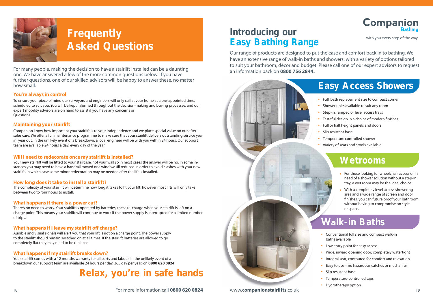18 For more information call **0800 620 0824** www.**companionstairlifts**.co.uk 19



## **Frequently Asked Questions**

### **Introducing our Bathing Easy Bathing Range**

For many people, making the decision to have a stairlift installed can be a daunting one. We have answered a few of the more common questions below. If you have further questions, one of our skilled advisors will be happy to answer these, no matter how small.

- Full, bath replacement size to compact corner
- Shower units available to suit any room
- Step-in, ramped or level access trays
- Tasteful design in a choice of modern finishes
- Full or half height panels and doors
- Slip resistant base
- Temperature controlled shower
- Variety of seats and stools available

Our range of products are designed to put the ease and comfort back in to bathing. We have an extensive range of walk-in baths and showers, with a variety of options tailored to suit your bathroom, décor and budget. Please call one of our expert advisors to request an information pack on **0800 756 2844.**



## **Companion**

### **Easy Access Showers**

### **Wetrooms**

### **Walk-in Baths**

- Conventional full size and compact walk-in baths available
- Low entry point for easy access
- Wide, inward opening door; completely watertight
- Integral seat, contoured for comfort and relaxation
- Easy to use no hazardous catches or mechanism
- Slip resistant base
- Temperature-controlled taps
- Hydrotherapy option

Your new stairlift will be fitted to your staircase, not your wall so in most cases the answer will be no. In some instances you may need to have a handrail moved or a window sill reduced in order to avoid clashes with your new stairlift, in which case some minor redecoration may be needed after the lift is installed.

- For those looking for wheelchair access or in need of a shower solution without a step-in tray, a wet room may be the ideal choice.
- With a completely level access showering area and a wide range of screen and door finishes, you can future proof your bathroom without having to compromise on style or space.

#### **You're always in control**

To ensure your piece of mind our surveyors and engineers will only call at your home at a pre-appointed time, scheduled to suit you. You will be kept informed throughout the decision-making and buying processes, and our expert mobility advisors are on hand to assist if you have any concerns or Questions.

#### **Maintaining your stairlift**

Companion know how important your stairlift is to your independence and we place special value on our aftersales care. We offer a full maintenance programme to make sure that your stairlift delivers outstanding service year in, year out. In the unlikely event of a breakdown, a local engineer will be with you within 24 hours. Our support team are available 24 hours a day, every day of the year.

#### **Will I need to redecorate once my stairlift is installed?**

#### **How long does it take to install a stairlift?**

The complexity of your stairlift will determine how long it takes to fit your lift; however most lifts will only take between two to four hours to install.

#### **What happens if there is a power cut?**

There's no need to worry. Your stairlift is operated by batteries, these re-charge when your stairlift is left on a charge point. This means your stairlift will continue to work if the power supply is interrupted for a limited number of trips.

#### **What happens if I leave my stairlift off charge?**

Audible and visual signals will alert you that your lift is not on a charge point. The power supply to the stairlift should remain switched on at all times. If the stairlift batteries are allowed to go completely flat they may need to be replaced.

#### **What happens if my stairlift breaks down?**

Your stairlift comes with a 12 months warranty for all parts and labour. In the unlikely event of a breakdown our support team are available 24 hours per day, 365 day per year, on **0800 620 0824**.

## **Relax, you're in safe hands**